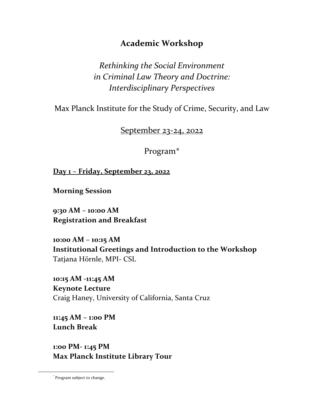## **Academic Workshop**

*Rethinking the Social Environment in Criminal Law Theory and Doctrine: Interdisciplinary Perspectives*

Max Planck Institute for the Study of Crime, Security, and Law

September 23-24, 2022

Program\*

**Day 1 – Friday, September 23, 2022**

**Morning Session**

**9:30 AM – 10:00 AM Registration and Breakfast**

**10:00 AM – 10:15 AM Institutional Greetings and Introduction to the Workshop** Tatjana Hörnle, MPI- CSL

**10:15 AM -11:45 AM Keynote Lecture**  Craig Haney, University of California, Santa Cruz

**11:45 AM – 1:00 PM Lunch Break**

**1:00 PM- 1:45 PM Max Planck Institute Library Tour**

<sup>\*</sup> Program subject to change.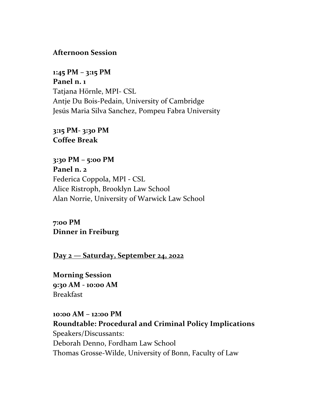## **Afternoon Session**

**1:45 PM – 3:15 PM Panel n. 1** Tatjana Hörnle, MPI- CSL Antje Du Bois-Pedain, University of Cambridge Jesús Maria Silva Sanchez, Pompeu Fabra University

**3:15 PM- 3:30 PM Coffee Break**

**3:30 PM – 5:00 PM Panel n. 2** Federica Coppola, MPI - CSL Alice Ristroph, Brooklyn Law School Alan Norrie, University of Warwick Law School

**7:00 PM Dinner in Freiburg**

**Day 2 — Saturday, September 24, 2022**

**Morning Session 9:30 AM - 10:00 AM** Breakfast

**10:00 AM – 12:00 PM Roundtable: Procedural and Criminal Policy Implications** Speakers/Discussants: Deborah Denno, Fordham Law School Thomas Grosse-Wilde, University of Bonn, Faculty of Law